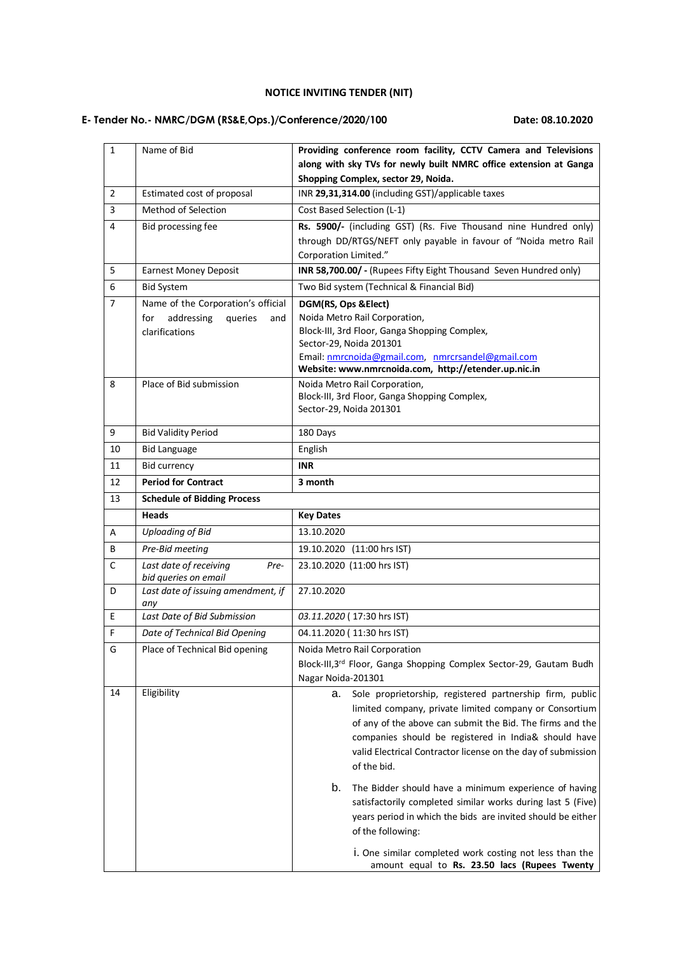## **NOTICE INVITING TENDER (NIT)**

## **E- Tender No.- NMRC/DGM (RS&E,Ops.)/Conference/2020/100 Date: 08.10.2020**

| $\mathbf{1}$   | Name of Bid                               | Providing conference room facility, CCTV Camera and Televisions                                                                                                                                                                                                                                                              |
|----------------|-------------------------------------------|------------------------------------------------------------------------------------------------------------------------------------------------------------------------------------------------------------------------------------------------------------------------------------------------------------------------------|
|                |                                           | along with sky TVs for newly built NMRC office extension at Ganga                                                                                                                                                                                                                                                            |
|                |                                           | Shopping Complex, sector 29, Noida.                                                                                                                                                                                                                                                                                          |
| $\overline{2}$ | Estimated cost of proposal                | INR 29,31,314.00 (including GST)/applicable taxes                                                                                                                                                                                                                                                                            |
| 3              | Method of Selection                       | Cost Based Selection (L-1)                                                                                                                                                                                                                                                                                                   |
| 4              | Bid processing fee                        | Rs. 5900/- (including GST) (Rs. Five Thousand nine Hundred only)                                                                                                                                                                                                                                                             |
|                |                                           | through DD/RTGS/NEFT only payable in favour of "Noida metro Rail                                                                                                                                                                                                                                                             |
|                |                                           | <b>Corporation Limited."</b>                                                                                                                                                                                                                                                                                                 |
| 5              | <b>Earnest Money Deposit</b>              | INR 58,700.00/ - (Rupees Fifty Eight Thousand Seven Hundred only)                                                                                                                                                                                                                                                            |
| 6              | <b>Bid System</b>                         | Two Bid system (Technical & Financial Bid)                                                                                                                                                                                                                                                                                   |
| $\overline{7}$ | Name of the Corporation's official        | DGM(RS, Ops & Elect)                                                                                                                                                                                                                                                                                                         |
|                | addressing<br>for<br>queries<br>and       | Noida Metro Rail Corporation,                                                                                                                                                                                                                                                                                                |
|                | clarifications                            | Block-III, 3rd Floor, Ganga Shopping Complex,                                                                                                                                                                                                                                                                                |
|                |                                           | Sector-29, Noida 201301<br>Email: nmrcnoida@gmail.com, nmrcrsandel@gmail.com                                                                                                                                                                                                                                                 |
|                |                                           | Website: www.nmrcnoida.com, http://etender.up.nic.in                                                                                                                                                                                                                                                                         |
| 8              | Place of Bid submission                   | Noida Metro Rail Corporation,                                                                                                                                                                                                                                                                                                |
|                |                                           | Block-III, 3rd Floor, Ganga Shopping Complex,                                                                                                                                                                                                                                                                                |
|                |                                           | Sector-29, Noida 201301                                                                                                                                                                                                                                                                                                      |
| 9              | <b>Bid Validity Period</b>                | 180 Days                                                                                                                                                                                                                                                                                                                     |
| 10             | <b>Bid Language</b>                       | English                                                                                                                                                                                                                                                                                                                      |
| 11             | <b>Bid currency</b>                       | <b>INR</b>                                                                                                                                                                                                                                                                                                                   |
| 12             | <b>Period for Contract</b>                | 3 month                                                                                                                                                                                                                                                                                                                      |
| 13             | <b>Schedule of Bidding Process</b>        |                                                                                                                                                                                                                                                                                                                              |
|                | <b>Heads</b>                              | <b>Key Dates</b>                                                                                                                                                                                                                                                                                                             |
| A              | <b>Uploading of Bid</b>                   | 13.10.2020                                                                                                                                                                                                                                                                                                                   |
| B              | Pre-Bid meeting                           | 19.10.2020 (11:00 hrs IST)                                                                                                                                                                                                                                                                                                   |
| $\mathsf C$    | Last date of receiving<br>Pre-            | 23.10.2020 (11:00 hrs IST)                                                                                                                                                                                                                                                                                                   |
|                | bid queries on email                      |                                                                                                                                                                                                                                                                                                                              |
| D              | Last date of issuing amendment, if<br>any | 27.10.2020                                                                                                                                                                                                                                                                                                                   |
| E              | Last Date of Bid Submission               | 03.11.2020 (17:30 hrs IST)                                                                                                                                                                                                                                                                                                   |
| $\mathsf F$    | Date of Technical Bid Opening             | 04.11.2020 (11:30 hrs IST)                                                                                                                                                                                                                                                                                                   |
| G              | Place of Technical Bid opening            | Noida Metro Rail Corporation                                                                                                                                                                                                                                                                                                 |
|                |                                           | Block-III, 3rd Floor, Ganga Shopping Complex Sector-29, Gautam Budh                                                                                                                                                                                                                                                          |
|                |                                           | Nagar Noida-201301                                                                                                                                                                                                                                                                                                           |
| 14             | Eligibility                               | Sole proprietorship, registered partnership firm, public<br>а.<br>limited company, private limited company or Consortium<br>of any of the above can submit the Bid. The firms and the<br>companies should be registered in India& should have<br>valid Electrical Contractor license on the day of submission<br>of the bid. |
|                |                                           | b.<br>The Bidder should have a minimum experience of having<br>satisfactorily completed similar works during last 5 (Five)<br>years period in which the bids are invited should be either<br>of the following:                                                                                                               |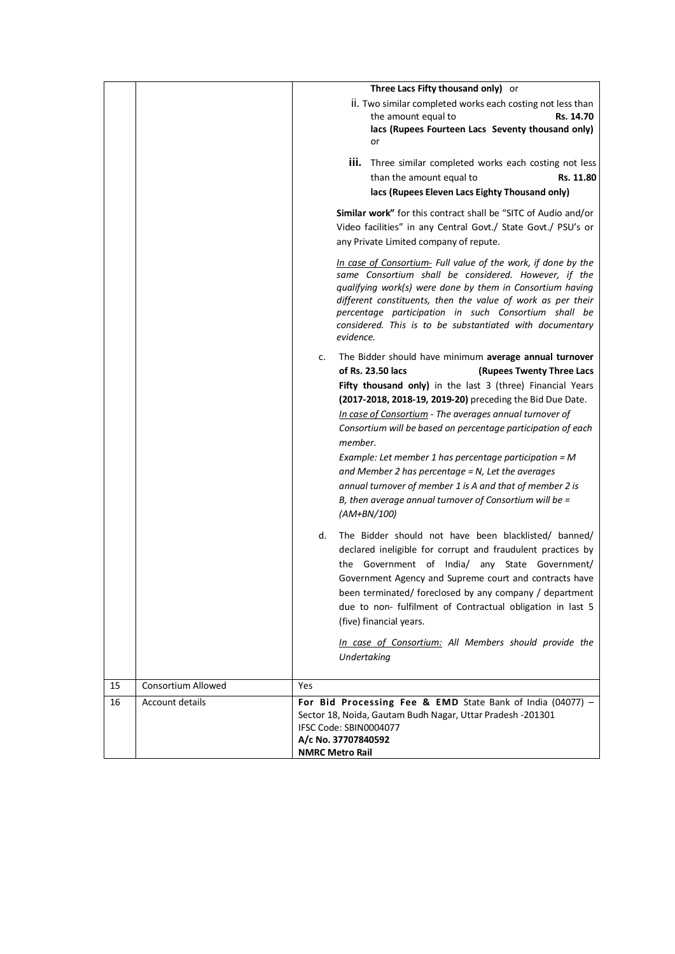|    |                           | Three Lacs Fifty thousand only) or                                                                                                                                                                                                                                                                                                                                                                                                                                                                                                                                                                                                            |
|----|---------------------------|-----------------------------------------------------------------------------------------------------------------------------------------------------------------------------------------------------------------------------------------------------------------------------------------------------------------------------------------------------------------------------------------------------------------------------------------------------------------------------------------------------------------------------------------------------------------------------------------------------------------------------------------------|
|    |                           | ii. Two similar completed works each costing not less than<br>the amount equal to<br>Rs. 14.70<br>lacs (Rupees Fourteen Lacs Seventy thousand only)<br>or                                                                                                                                                                                                                                                                                                                                                                                                                                                                                     |
|    |                           | iii. Three similar completed works each costing not less<br>than the amount equal to<br>Rs. 11.80<br>lacs (Rupees Eleven Lacs Eighty Thousand only)                                                                                                                                                                                                                                                                                                                                                                                                                                                                                           |
|    |                           | Similar work" for this contract shall be "SITC of Audio and/or<br>Video facilities" in any Central Govt./ State Govt./ PSU's or<br>any Private Limited company of repute.                                                                                                                                                                                                                                                                                                                                                                                                                                                                     |
|    |                           | In case of Consortium- Full value of the work, if done by the<br>same Consortium shall be considered. However, if the<br>qualifying work(s) were done by them in Consortium having<br>different constituents, then the value of work as per their<br>percentage participation in such Consortium shall be<br>considered. This is to be substantiated with documentary<br>evidence.                                                                                                                                                                                                                                                            |
|    |                           | The Bidder should have minimum average annual turnover<br>c.<br>of Rs. 23.50 lacs<br>(Rupees Twenty Three Lacs<br>Fifty thousand only) in the last 3 (three) Financial Years<br>(2017-2018, 2018-19, 2019-20) preceding the Bid Due Date.<br>In case of Consortium - The averages annual turnover of<br>Consortium will be based on percentage participation of each<br>member.<br>Example: Let member 1 has percentage participation = $M$<br>and Member 2 has percentage $= N$ , Let the averages<br>annual turnover of member 1 is A and that of member 2 is<br>B, then average annual turnover of Consortium will be $=$<br>$(AM+BN/100)$ |
|    |                           | The Bidder should not have been blacklisted/ banned/<br>d.<br>declared ineligible for corrupt and fraudulent practices by<br>the Government of India/ any State Government/<br>Government Agency and Supreme court and contracts have<br>been terminated/ foreclosed by any company / department<br>due to non- fulfilment of Contractual obligation in last 5<br>(five) financial years.                                                                                                                                                                                                                                                     |
|    |                           | In case of Consortium: All Members should provide the<br>Undertaking                                                                                                                                                                                                                                                                                                                                                                                                                                                                                                                                                                          |
| 15 | <b>Consortium Allowed</b> | Yes                                                                                                                                                                                                                                                                                                                                                                                                                                                                                                                                                                                                                                           |
| 16 | Account details           | For Bid Processing Fee & EMD State Bank of India (04077) -<br>Sector 18, Noida, Gautam Budh Nagar, Uttar Pradesh -201301<br>IFSC Code: SBIN0004077<br>A/c No. 37707840592<br><b>NMRC Metro Rail</b>                                                                                                                                                                                                                                                                                                                                                                                                                                           |